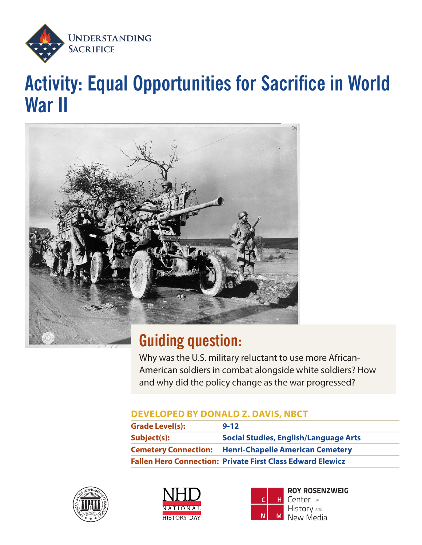

# **Activity: Equal Opportunities for Sacrifice in World War II**



## **Guiding question:**

Why was the U.S. military reluctant to use more African-American soldiers in combat alongside white soldiers? How and why did the policy change as the war progressed?

### **DEVELOPED BY DONALD Z. DAVIS, NBCT**

| <b>Grade Level(s):</b> | $9 - 12$                                                          |
|------------------------|-------------------------------------------------------------------|
| Subject(s):            | <b>Social Studies, English/Language Arts</b>                      |
|                        | <b>Cemetery Connection:</b> Henri-Chapelle American Cemetery      |
|                        | <b>Fallen Hero Connection: Private First Class Edward Elewicz</b> |







**ROY ROSENZWEIG** Center FOR **History AND** New Media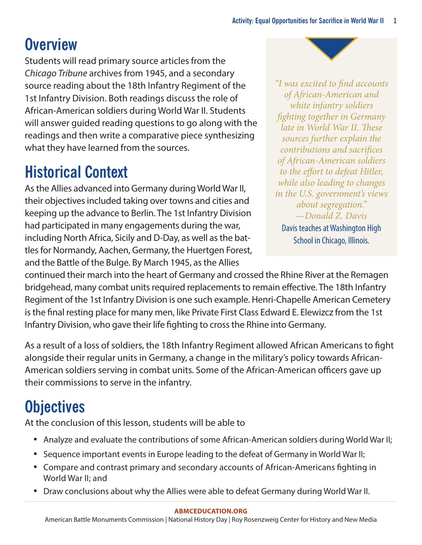## **Overview**

Students will read primary source articles from the *Chicago Tribune* archives from 1945, and a secondary source reading about the 18th Infantry Regiment of the 1st Infantry Division. Both readings discuss the role of African-American soldiers during World War II. Students will answer guided reading questions to go along with the readings and then write a comparative piece synthesizing what they have learned from the sources.

## **Historical Context**

As the Allies advanced into Germany during World War II, their objectives included taking over towns and cities and keeping up the advance to Berlin. The 1st Infantry Division had participated in many engagements during the war, including North Africa, Sicily and D-Day, as well as the battles for Normandy, Aachen, Germany, the Huertgen Forest, and the Battle of the Bulge. By March 1945, as the Allies

*"I was excited to find accounts of African-American and white infantry soldiers fighting together in Germany late in World War II. These sources further explain the contributions and sacrifices of African-American soldiers to the effort to defeat Hitler, while also leading to changes in the U.S. government's views about segregation." —Donald Z. Davis* Davis teaches at Washington High

School in Chicago, Illinois.

continued their march into the heart of Germany and crossed the Rhine River at the Remagen bridgehead, many combat units required replacements to remain effective. The 18th Infantry Regiment of the 1st Infantry Division is one such example. Henri-Chapelle American Cemetery is the final resting place for many men, like Private First Class Edward E. Elewizcz from the 1st Infantry Division, who gave their life fighting to cross the Rhine into Germany.

As a result of a loss of soldiers, the 18th Infantry Regiment allowed African Americans to fight alongside their regular units in Germany, a change in the military's policy towards African-American soldiers serving in combat units. Some of the African-American officers gave up their commissions to serve in the infantry.

# **Objectives**

At the conclusion of this lesson, students will be able to

- Analyze and evaluate the contributions of some African-American soldiers during World War II;
- Sequence important events in Europe leading to the defeat of Germany in World War II;
- Compare and contrast primary and secondary accounts of African-Americans fighting in World War II; and
- Draw conclusions about why the Allies were able to defeat Germany during World War II.

#### **[ABMCEDUCATION.ORG](http://abmceducation.org)**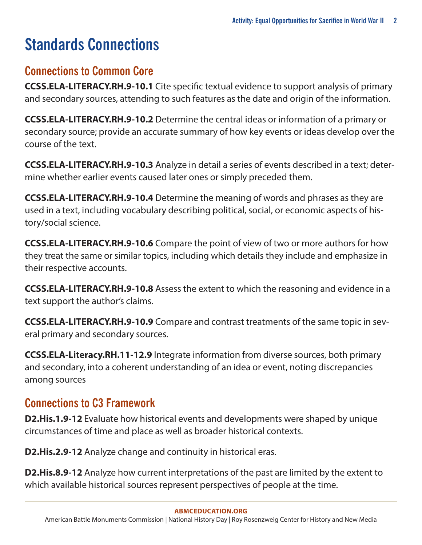# **Standards Connections**

### **Connections to Common Core**

**[CCSS.ELA-LITERACY.RH.9-10.1](http://www.corestandards.org/ELA-Literacy/RH/9-10/1/)** Cite specific textual evidence to support analysis of primary and secondary sources, attending to such features as the date and origin of the information.

**[CCSS.ELA-LITERACY.RH.9-10.2](http://www.corestandards.org/ELA-Literacy/RH/9-10/2/)** Determine the central ideas or information of a primary or secondary source; provide an accurate summary of how key events or ideas develop over the course of the text.

**[CCSS.ELA-LITERACY.RH.9-10.3](http://www.corestandards.org/ELA-Literacy/RH/9-10/3/)** Analyze in detail a series of events described in a text; determine whether earlier events caused later ones or simply preceded them.

**[CCSS.ELA-LITERACY.RH.9-10.4](http://www.corestandards.org/ELA-Literacy/RH/9-10/4/)** Determine the meaning of words and phrases as they are used in a text, including vocabulary describing political, social, or economic aspects of history/social science.

**[CCSS.ELA-LITERACY.RH.9-10.6](http://www.corestandards.org/ELA-Literacy/RH/9-10/6/)** Compare the point of view of two or more authors for how they treat the same or similar topics, including which details they include and emphasize in their respective accounts.

**[CCSS.ELA-LITERACY.RH.9-10.8](http://www.corestandards.org/ELA-Literacy/RH/9-10/8/)** Assess the extent to which the reasoning and evidence in a text support the author's claims.

**[CCSS.ELA-LITERACY.RH.9-10.9](http://www.corestandards.org/ELA-Literacy/RH/9-10/9/)** Compare and contrast treatments of the same topic in several primary and secondary sources.

**CCSS.ELA-Literacy.RH.11-12.9** Integrate information from diverse sources, both primary and secondary, into a coherent understanding of an idea or event, noting discrepancies among sources

### **Connections to C3 Framework**

**D2.His.1.9-12** Evaluate how historical events and developments were shaped by unique circumstances of time and place as well as broader historical contexts.

**D2.His.2.9-12** Analyze change and continuity in historical eras.

**D2.His.8.9-12** Analyze how current interpretations of the past are limited by the extent to which available historical sources represent perspectives of people at the time.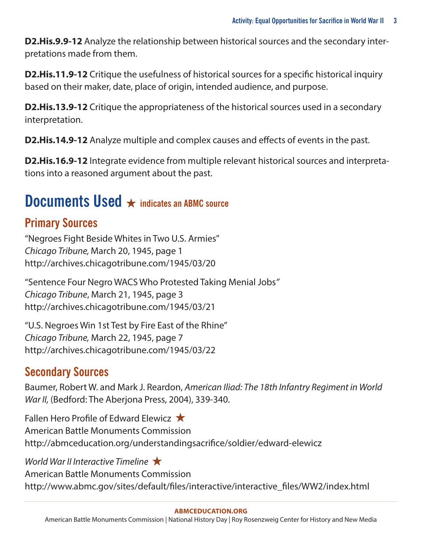**D2.His.9.9-12** Analyze the relationship between historical sources and the secondary interpretations made from them.

**D2.His.11.9-12** Critique the usefulness of historical sources for a specific historical inquiry based on their maker, date, place of origin, intended audience, and purpose.

**D2.His.13.9-12** Critique the appropriateness of the historical sources used in a secondary interpretation.

**D2.His.14.9-12** Analyze multiple and complex causes and effects of events in the past.

**D2.His.16.9-12** Integrate evidence from multiple relevant historical sources and interpretations into a reasoned argument about the past.

## **Documents Used** ★ **indicates an ABMC source**

### **Primary Sources**

"Negroes Fight Beside Whites in Two U.S. Armies" *Chicago Tribune,* March 20, 1945, page 1 <http://archives.chicagotribune.com/1945/03/20>

"Sentence Four Negro WACS Who Protested Taking Menial Jobs*" Chicago Tribune*, March 21, 1945, page 3 <http://archives.chicagotribune.com/1945/03/21>

"U.S. Negroes Win 1st Test by Fire East of the Rhine" *Chicago Tribune,* March 22, 1945, page 7 <http://archives.chicagotribune.com/1945/03/22>

### **Secondary Sources**

Baumer, Robert W. and Mark J. Reardon, *American Iliad: The 18th Infantry Regiment in World War II,* (Bedford: The Aberjona Press, 2004), 339-340.

Fallen Hero Profile of Edward Elewicz ★ American Battle Monuments Commission http://abmceducation.org/understandingsacrifice/soldier/edward-elewicz

*World War II Interactive Timeline* ★ American Battle Monuments Commission [http://www.abmc.gov/sites/default/files/interactive/interactive\\_files/WW2/index.html](http://www.abmc.gov/sites/default/files/interactive/interactive_files/WW2/index.html)

### **[ABMCEDUCATION.ORG](http://abmceducation.org)**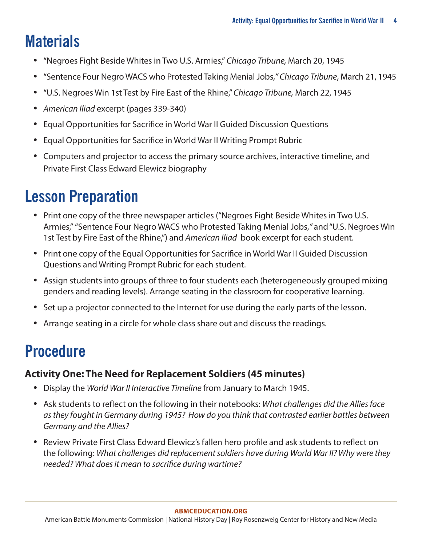## **Materials**

- "Negroes Fight Beside Whites in Two U.S. Armies," *Chicago Tribune,* March 20, 1945
- "Sentence Four Negro WACS who Protested Taking Menial Jobs,*" Chicago Tribune*, March 21, 1945
- "U.S. Negroes Win 1st Test by Fire East of the Rhine," *Chicago Tribune,* March 22, 1945
- *• American Iliad* excerpt (pages 339-340)
- Equal Opportunities for Sacrifice in World War II Guided Discussion Questions
- Equal Opportunities for Sacrifice in World War II Writing Prompt Rubric
- Computers and projector to access the primary source archives, interactive timeline, and Private First Class Edward Elewicz biography

# **Lesson Preparation**

- Print one copy of the three newspaper articles ("Negroes Fight Beside Whites in Two U.S. Armies,""Sentence Four Negro WACS who Protested Taking Menial Jobs,*"* and "U.S. Negroes Win 1st Test by Fire East of the Rhine,") and *American Iliad* book excerpt for each student.
- Print one copy of the Equal Opportunities for Sacrifice in World War II Guided Discussion Questions and Writing Prompt Rubric for each student.
- Assign students into groups of three to four students each (heterogeneously grouped mixing genders and reading levels). Arrange seating in the classroom for cooperative learning.
- Set up a projector connected to the Internet for use during the early parts of the lesson.
- Arrange seating in a circle for whole class share out and discuss the readings.

# **Procedure**

### **Activity One: The Need for Replacement Soldiers (45 minutes)**

- Display the *World War II Interactive Timeline* from January to March 1945.
- Ask students to reflect on the following in their notebooks: *What challenges did the Allies face as they fought in Germany during 1945? How do you think that contrasted earlier battles between Germany and the Allies?*
- Review Private First Class Edward Elewicz's fallen hero profile and ask students to reflect on the following: *What challenges did replacement soldiers have during World War II? Why were they needed? What does it mean to sacrifice during wartime?*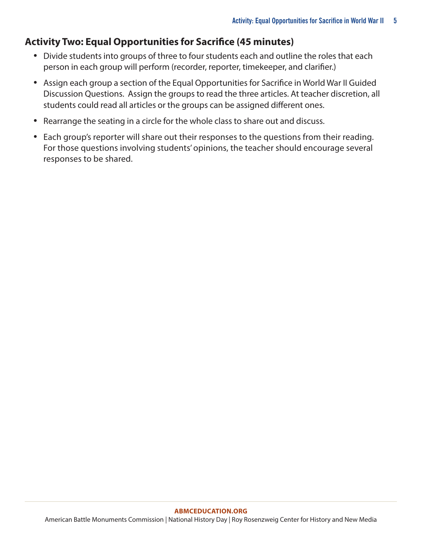### **Activity Two: Equal Opportunities for Sacrifice (45 minutes)**

- Divide students into groups of three to four students each and outline the roles that each person in each group will perform (recorder, reporter, timekeeper, and clarifier.)
- Assign each group a section of the Equal Opportunities for Sacrifice in World War II Guided Discussion Questions. Assign the groups to read the three articles. At teacher discretion, all students could read all articles or the groups can be assigned different ones.
- Rearrange the seating in a circle for the whole class to share out and discuss.
- Each group's reporter will share out their responses to the questions from their reading. For those questions involving students' opinions, the teacher should encourage several responses to be shared.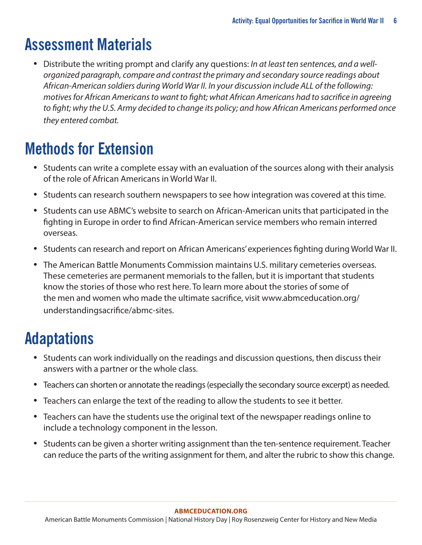## **Assessment Materials**

• Distribute the writing prompt and clarify any questions: *In at least ten sentences, and a wellorganized paragraph, compare and contrast the primary and secondary source readings about African-American soldiers during World War II. In your discussion include ALL of the following: motives for African Americans to want to fight; what African Americans had to sacrifice in agreeing to fight; why the U.S. Army decided to change its policy; and how African Americans performed once they entered combat.*

## **Methods for Extension**

- Students can write a complete essay with an evaluation of the sources along with their analysis of the role of African Americans in World War II.
- Students can research southern newspapers to see how integration was covered at this time.
- Students can use ABMC's website to search on African-American units that participated in the fighting in Europe in order to find African-American service members who remain interred overseas.
- Students can research and report on African Americans' experiences fighting during World War II.
- The American Battle Monuments Commission maintains U.S. military cemeteries overseas. These cemeteries are permanent memorials to the fallen, but it is important that students know the stories of those who rest here. To learn more about the stories of some of the men and women who made the ultimate sacrifice, visi[t](http://www.abmceducation.org/understandingsacrifice/abmc-sites) [www.abmceducation.org/](http://www.abmceducation.org/understandingsacrifice/abmc-sites) [understandingsacrifice/abmc-sites.](http://www.abmceducation.org/understandingsacrifice/abmc-sites)

## **Adaptations**

- Students can work individually on the readings and discussion questions, then discuss their answers with a partner or the whole class.
- Teachers can shorten or annotate the readings (especially the secondary source excerpt) as needed.
- Teachers can enlarge the text of the reading to allow the students to see it better.
- Teachers can have the students use the original text of the newspaper readings online to include a technology component in the lesson.
- Students can be given a shorter writing assignment than the ten-sentence requirement. Teacher can reduce the parts of the writing assignment for them, and alter the rubric to show this change.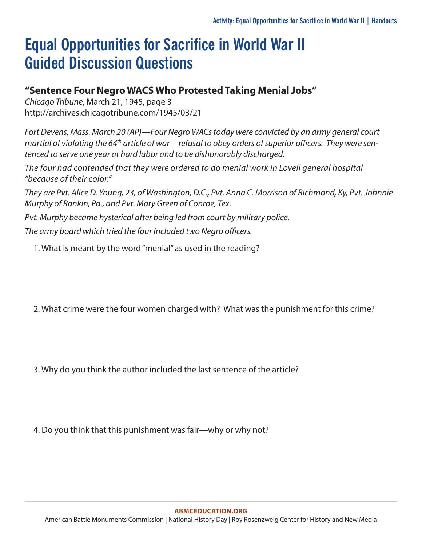## **Equal Opportunities for Sacrifice in World War II Guided Discussion Questions**

### **"Sentence Four Negro WACS Who Protested Taking Menial Jobs"**

*Chicago Tribune*, March 21, 1945, page 3 <http://archives.chicagotribune.com/1945/03/21>

*Fort Devens, Mass. March 20 (AP)—Four Negro WACs today were convicted by an army general court martial of violating the 64th article of war—refusal to obey orders of superior officers. They were sentenced to serve one year at hard labor and to be dishonorably discharged.*

*The four had contended that they were ordered to do menial work in Lovell general hospital "because of their color."*

*They are Pvt. Alice D. Young, 23, of Washington, D.C., Pvt. Anna C. Morrison of Richmond, Ky, Pvt. Johnnie Murphy of Rankin, Pa., and Pvt. Mary Green of Conroe, Tex.*

*Pvt. Murphy became hysterical after being led from court by military police.*

*The army board which tried the four included two Negro officers.*

1. What is meant by the word "menial" as used in the reading?

2. What crime were the four women charged with? What was the punishment for this crime?

3. Why do you think the author included the last sentence of the article?

4. Do you think that this punishment was fair—why or why not?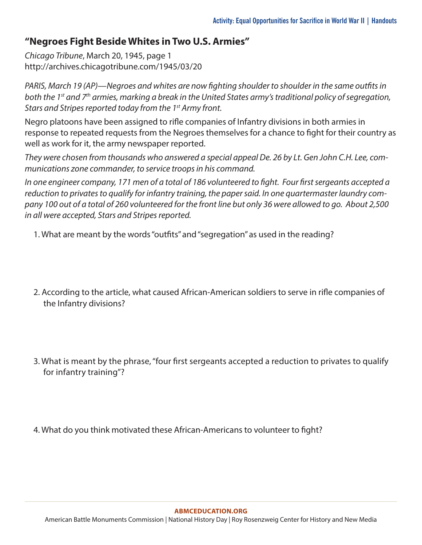### **"Negroes Fight Beside Whites in Two U.S. Armies"**

*Chicago Tribune*, March 20, 1945, page 1 <http://archives.chicagotribune.com/1945/03/20>

*PARIS, March 19 (AP)—Negroes and whites are now fighting shoulder to shoulder in the same outfits in both the 1st and 7th armies, marking a break in the United States army's traditional policy of segregation, Stars and Stripes reported today from the 1st Army front.*

Negro platoons have been assigned to rifle companies of Infantry divisions in both armies in response to repeated requests from the Negroes themselves for a chance to fight for their country as well as work for it, the army newspaper reported.

*They were chosen from thousands who answered a special appeal De. 26 by Lt. Gen John C.H. Lee, communications zone commander, to service troops in his command.*

*In one engineer company, 171 men of a total of 186 volunteered to fight. Four first sergeants accepted a reduction to privates to qualify for infantry training, the paper said. In one quartermaster laundry company 100 out of a total of 260 volunteered for the front line but only 36 were allowed to go. About 2,500 in all were accepted, Stars and Stripes reported.*

- 1. What are meant by the words "outfits" and "segregation" as used in the reading?
- 2. According to the article, what caused African-American soldiers to serve in rifle companies of the Infantry divisions?
- 3. What is meant by the phrase, "four first sergeants accepted a reduction to privates to qualify for infantry training"?
- 4. What do you think motivated these African-Americans to volunteer to fight?

#### **[ABMCEDUCATION.ORG](http://abmceducation.org)**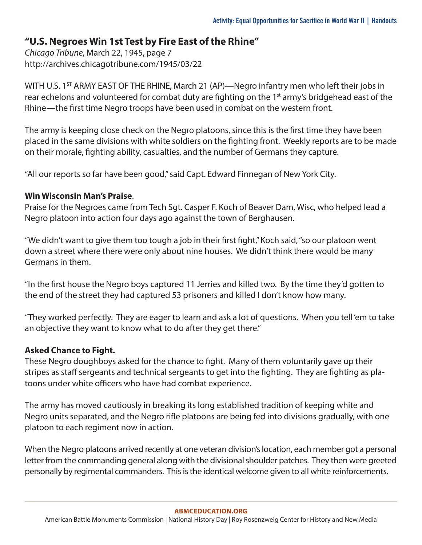### **"U.S. Negroes Win 1st Test by Fire East of the Rhine"**

*Chicago Tribune*, March 22, 1945, page 7 <http://archives.chicagotribune.com/1945/03/22>

WITH U.S. 1<sup>ST</sup> ARMY EAST OF THE RHINE, March 21 (AP)—Negro infantry men who left their jobs in rear echelons and volunteered for combat duty are fighting on the 1<sup>st</sup> army's bridgehead east of the Rhine—the first time Negro troops have been used in combat on the western front.

The army is keeping close check on the Negro platoons, since this is the first time they have been placed in the same divisions with white soldiers on the fighting front. Weekly reports are to be made on their morale, fighting ability, casualties, and the number of Germans they capture.

"All our reports so far have been good," said Capt. Edward Finnegan of New York City.

### **Win Wisconsin Man's Praise**.

Praise for the Negroes came from Tech Sgt. Casper F. Koch of Beaver Dam, Wisc, who helped lead a Negro platoon into action four days ago against the town of Berghausen.

"We didn't want to give them too tough a job in their first fight," Koch said, "so our platoon went down a street where there were only about nine houses. We didn't think there would be many Germans in them.

"In the first house the Negro boys captured 11 Jerries and killed two. By the time they'd gotten to the end of the street they had captured 53 prisoners and killed I don't know how many.

"They worked perfectly. They are eager to learn and ask a lot of questions. When you tell 'em to take an objective they want to know what to do after they get there."

### **Asked Chance to Fight.**

These Negro doughboys asked for the chance to fight. Many of them voluntarily gave up their stripes as staff sergeants and technical sergeants to get into the fighting. They are fighting as platoons under white officers who have had combat experience.

The army has moved cautiously in breaking its long established tradition of keeping white and Negro units separated, and the Negro rifle platoons are being fed into divisions gradually, with one platoon to each regiment now in action.

When the Negro platoons arrived recently at one veteran division's location, each member got a personal letter from the commanding general along with the divisional shoulder patches. They then were greeted personally by regimental commanders. This is the identical welcome given to all white reinforcements.

#### **[ABMCEDUCATION.ORG](http://abmceducation.org)**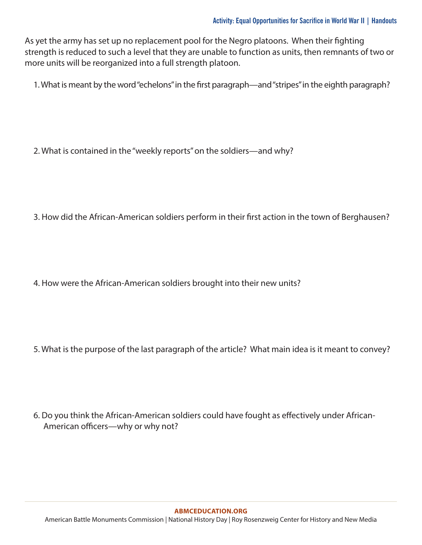As yet the army has set up no replacement pool for the Negro platoons. When their fighting strength is reduced to such a level that they are unable to function as units, then remnants of two or more units will be reorganized into a full strength platoon.

1. What is meant by the word "echelons" in the first paragraph—and "stripes" in the eighth paragraph?

2. What is contained in the "weekly reports" on the soldiers—and why?

3. How did the African-American soldiers perform in their first action in the town of Berghausen?

4. How were the African-American soldiers brought into their new units?

5. What is the purpose of the last paragraph of the article? What main idea is it meant to convey?

6. Do you think the African-American soldiers could have fought as effectively under African-American officers—why or why not?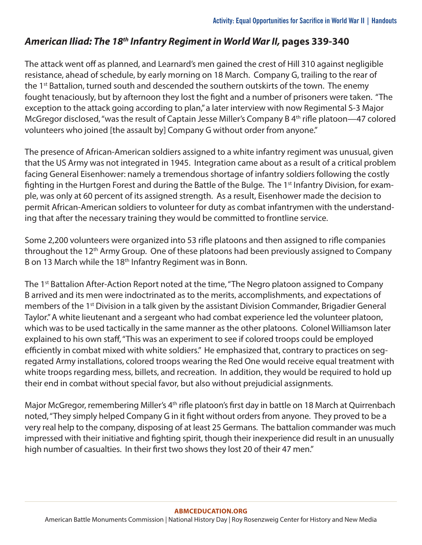### *American Iliad: The 18th Infantry Regiment in World War II,* **pages 339-340**

The attack went off as planned, and Learnard's men gained the crest of Hill 310 against negligible resistance, ahead of schedule, by early morning on 18 March. Company G, trailing to the rear of the 1<sup>st</sup> Battalion, turned south and descended the southern outskirts of the town. The enemy fought tenaciously, but by afternoon they lost the fight and a number of prisoners were taken. "The exception to the attack going according to plan," a later interview with now Regimental S-3 Major McGregor disclosed, "was the result of Captain Jesse Miller's Company B 4<sup>th</sup> rifle platoon—47 colored volunteers who joined [the assault by] Company G without order from anyone."

The presence of African-American soldiers assigned to a white infantry regiment was unusual, given that the US Army was not integrated in 1945. Integration came about as a result of a critical problem facing General Eisenhower: namely a tremendous shortage of infantry soldiers following the costly fighting in the Hurtgen Forest and during the Battle of the Bulge. The 1<sup>st</sup> Infantry Division, for example, was only at 60 percent of its assigned strength. As a result, Eisenhower made the decision to permit African-American soldiers to volunteer for duty as combat infantrymen with the understanding that after the necessary training they would be committed to frontline service.

Some 2,200 volunteers were organized into 53 rifle platoons and then assigned to rifle companies throughout the 12<sup>th</sup> Army Group. One of these platoons had been previously assigned to Company B on 13 March while the 18<sup>th</sup> Infantry Regiment was in Bonn.

The 1<sup>st</sup> Battalion After-Action Report noted at the time, "The Negro platoon assigned to Company B arrived and its men were indoctrinated as to the merits, accomplishments, and expectations of members of the 1<sup>st</sup> Division in a talk given by the assistant Division Commander, Brigadier General Taylor." A white lieutenant and a sergeant who had combat experience led the volunteer platoon, which was to be used tactically in the same manner as the other platoons. Colonel Williamson later explained to his own staff, "This was an experiment to see if colored troops could be employed efficiently in combat mixed with white soldiers." He emphasized that, contrary to practices on segregated Army installations, colored troops wearing the Red One would receive equal treatment with white troops regarding mess, billets, and recreation. In addition, they would be required to hold up their end in combat without special favor, but also without prejudicial assignments.

Major McGregor, remembering Miller's 4<sup>th</sup> rifle platoon's first day in battle on 18 March at Quirrenbach noted, "They simply helped Company G in it fight without orders from anyone. They proved to be a very real help to the company, disposing of at least 25 Germans. The battalion commander was much impressed with their initiative and fighting spirit, though their inexperience did result in an unusually high number of casualties. In their first two shows they lost 20 of their 47 men."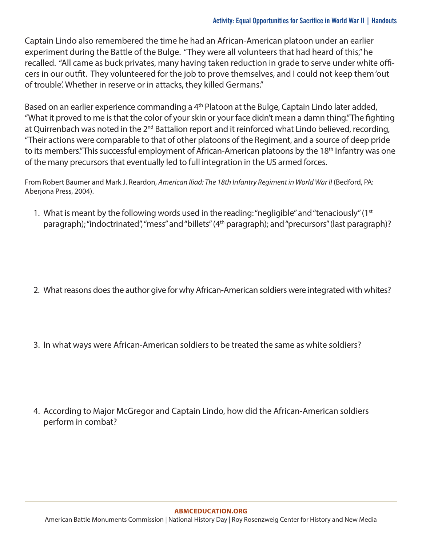Captain Lindo also remembered the time he had an African-American platoon under an earlier experiment during the Battle of the Bulge. "They were all volunteers that had heard of this," he recalled. "All came as buck privates, many having taken reduction in grade to serve under white officers in our outfit. They volunteered for the job to prove themselves, and I could not keep them 'out of trouble'. Whether in reserve or in attacks, they killed Germans."

Based on an earlier experience commanding a 4<sup>th</sup> Platoon at the Bulge, Captain Lindo later added, "What it proved to me is that the color of your skin or your face didn't mean a damn thing." The fighting at Quirrenbach was noted in the 2<sup>nd</sup> Battalion report and it reinforced what Lindo believed, recording, "Their actions were comparable to that of other platoons of the Regiment, and a source of deep pride to its members." This successful employment of African-American platoons by the 18<sup>th</sup> Infantry was one of the many precursors that eventually led to full integration in the US armed forces.

From Robert Baumer and Mark J. Reardon, *American Iliad: The 18th Infantry Regiment in World War II* (Bedford, PA: Aberjona Press, 2004).

1. What is meant by the following words used in the reading: "negligible" and "tenaciously" ( $1<sup>st</sup>$ paragraph); "indoctrinated", "mess" and "billets" (4<sup>th</sup> paragraph); and "precursors" (last paragraph)?

- 2. What reasons does the author give for why African-American soldiers were integrated with whites?
- 3. In what ways were African-American soldiers to be treated the same as white soldiers?

4. According to Major McGregor and Captain Lindo, how did the African-American soldiers perform in combat?

#### **[ABMCEDUCATION.ORG](http://abmceducation.org)**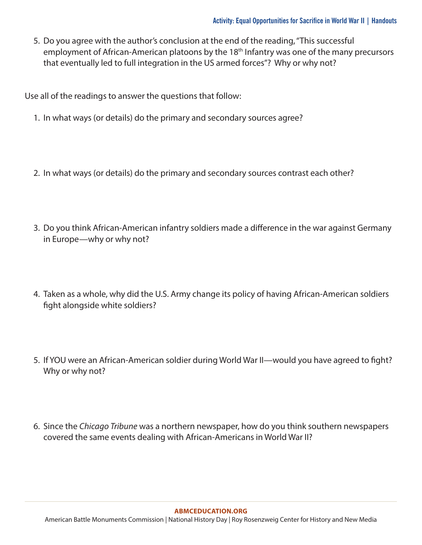5. Do you agree with the author's conclusion at the end of the reading, "This successful employment of African-American platoons by the 18<sup>th</sup> Infantry was one of the many precursors that eventually led to full integration in the US armed forces"? Why or why not?

Use all of the readings to answer the questions that follow:

- 1. In what ways (or details) do the primary and secondary sources agree?
- 2. In what ways (or details) do the primary and secondary sources contrast each other?
- 3. Do you think African-American infantry soldiers made a difference in the war against Germany in Europe—why or why not?
- 4. Taken as a whole, why did the U.S. Army change its policy of having African-American soldiers fight alongside white soldiers?
- 5. If YOU were an African-American soldier during World War II—would you have agreed to fight? Why or why not?
- 6. Since the *Chicago Tribune* was a northern newspaper, how do you think southern newspapers covered the same events dealing with African-Americans in World War II?

#### **[ABMCEDUCATION.ORG](http://abmceducation.org)**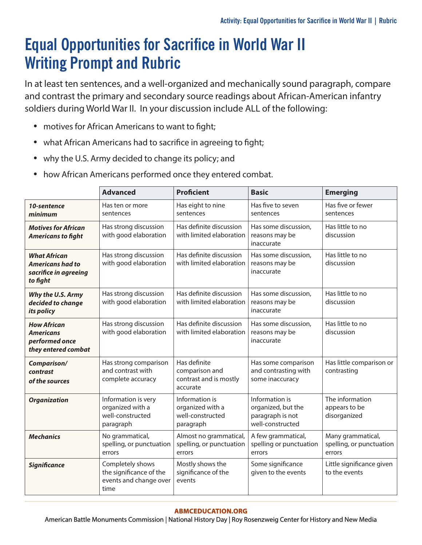## **Equal Opportunities for Sacrifice in World War II Writing Prompt and Rubric**

In at least ten sentences, and a well-organized and mechanically sound paragraph, compare and contrast the primary and secondary source readings about African-American infantry soldiers during World War II. In your discussion include ALL of the following:

- motives for African Americans to want to fight;
- what African Americans had to sacrifice in agreeing to fight;
- why the U.S. Army decided to change its policy; and
- how African Americans performed once they entered combat.

|                                                                                     | <b>Advanced</b>                                                               | <b>Proficient</b>                                                    | <b>Basic</b>                                                                 | <b>Emerging</b>                                         |
|-------------------------------------------------------------------------------------|-------------------------------------------------------------------------------|----------------------------------------------------------------------|------------------------------------------------------------------------------|---------------------------------------------------------|
| 10-sentence<br>minimum                                                              | Has ten or more<br>sentences                                                  | Has eight to nine<br>sentences                                       | Has five to seven<br>sentences                                               | Has five or fewer<br>sentences                          |
| <b>Motives for African</b><br><b>Americans to fight</b>                             | Has strong discussion<br>with good elaboration                                | Has definite discussion<br>with limited elaboration                  | Has some discussion,<br>reasons may be<br>inaccurate                         | Has little to no<br>discussion                          |
| <b>What African</b><br><b>Americans had to</b><br>sacrifice in agreeing<br>to fight | Has strong discussion<br>with good elaboration                                | Has definite discussion<br>with limited elaboration                  | Has some discussion,<br>reasons may be<br>inaccurate                         | Has little to no<br>discussion                          |
| Why the U.S. Army<br>decided to change<br>its policy                                | Has strong discussion<br>with good elaboration                                | Has definite discussion<br>with limited elaboration                  | Has some discussion,<br>reasons may be<br>inaccurate                         | Has little to no<br>discussion                          |
| <b>How African</b><br><b>Americans</b><br>performed once<br>they entered combat     | Has strong discussion<br>with good elaboration                                | Has definite discussion<br>with limited elaboration                  | Has some discussion,<br>reasons may be<br>inaccurate                         | Has little to no<br>discussion                          |
| Comparison/<br>contrast<br>of the sources                                           | Has strong comparison<br>and contrast with<br>complete accuracy               | Has definite<br>comparison and<br>contrast and is mostly<br>accurate | Has some comparison<br>and contrasting with<br>some inaccuracy               | Has little comparison or<br>contrasting                 |
| <b>Organization</b>                                                                 | Information is very<br>organized with a<br>well-constructed<br>paragraph      | Information is<br>organized with a<br>well-constructed<br>paragraph  | Information is<br>organized, but the<br>paragraph is not<br>well-constructed | The information<br>appears to be<br>disorganized        |
| <b>Mechanics</b>                                                                    | No grammatical,<br>spelling, or punctuation<br>errors                         | Almost no grammatical,<br>spelling, or punctuation<br>errors         | A few grammatical,<br>spelling or punctuation<br>errors                      | Many grammatical,<br>spelling, or punctuation<br>errors |
| <b>Significance</b>                                                                 | Completely shows<br>the significance of the<br>events and change over<br>time | Mostly shows the<br>significance of the<br>events                    | Some significance<br>given to the events                                     | Little significance given<br>to the events              |

#### **[ABMCEDUCATION.ORG](http://abmceducation.org)**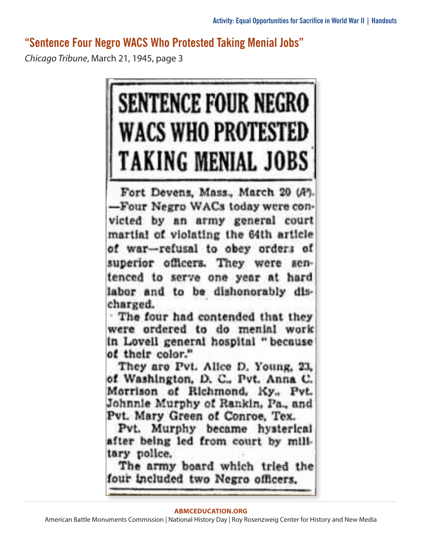### **"Sentence Four Negro WACS Who Protested Taking Menial Jobs"**

*Chicago Tribune*, March 21, 1945, page 3



Fort Devens, Mass., March 20 (A). -Four Negro WACs today were convicted by an army general court martial of violating the 64th article of war-refusal to obey orders of superior officers. They were sentenced to serve one year at hard labor and to be dishonorably discharged.

. The four had contended that they were ordered to do menial work in Lovell general hospital "because of their color."

They are Pvt. Alice D. Young, 23, of Washington, D. C., Pvt. Anna C. Morrison of Richmond, Ky., Pvt. Johnnie Murphy of Rankin, Pa., and Pvt. Mary Green of Conroe, Tex.

Pvt. Murphy became hysterical after being led from court by military police.

The army board which tried the four included two Negro officers.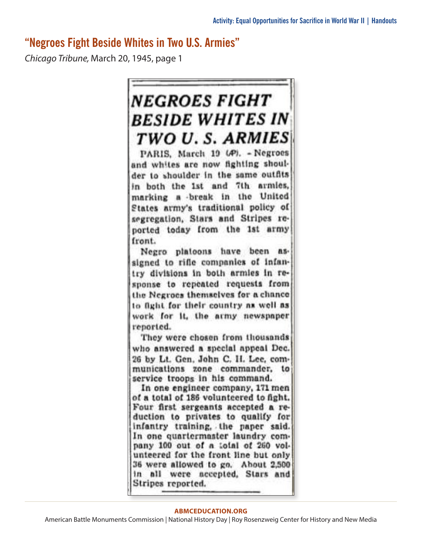### **"Negroes Fight Beside Whites in Two U.S. Armies"**

*Chicago Tribune,* March 20, 1945, page 1



PARIS, March 19 (A). - Negroes and whites are now fighting shoulder to shoulder in the same outfits in both the 1st and 7th armies, marking a break in the United States army's traditional policy of segregation, Stars and Stripes reported today from the 1st army front.

Negro platoons have been assigned to rifle companies of infantry divisions in both armles in response to repeated requests from the Negroes themselves for a chance to fight for their country as well as work for it, the army newspaper reported.

They were chosen from thousands who answered a special appeal Dec. 26 by Lt. Gen. John C. H. Lee, communications zone commander, to service troops in his command.

In one engineer company, 171 men of a total of 186 volunteered to fight. Four first sergeants accepted a reduction to privates to qualify for infantry training, the paper said. In one quartermaster laundry company 100 out of a total of 260 volunteered for the front line but only 36 were allowed to go. About 2,500 in all were accepted. Stars and Stripes reported.

#### **[ABMCEDUCATION.ORG](http://abmceducation.org)**